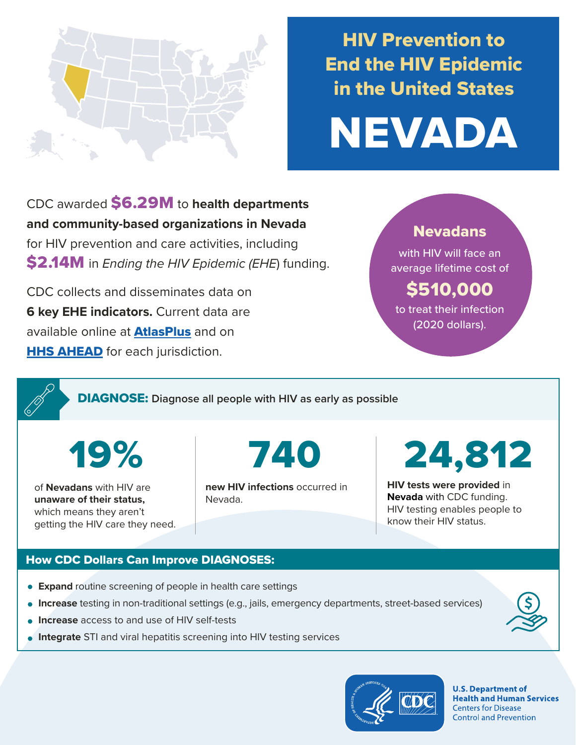

## HIV Prevention to End the HIV Epidemic in the United States



CDC awarded \$6.29M to **health departments and community-based organizations in Nevada**  for HIV prevention and care activities, including \$2.14M in *Ending the HIV Epidemic (EHE*) funding.

CDC collects and disseminates data on **6 key EHE indicators.** Current data are available online at **[AtlasPlus](https://www.cdc.gov/nchhstp/atlas/index.htm)** and on **[HHS AHEAD](https://ahead.hiv.gov/)** for each jurisdiction.

#### Nevadans

with HIV will face an average lifetime cost of

### \$510,000

to treat their infection (2020 dollars).

DIAGNOSE: **Diagnose all people with HIV as early as possible** 

19%

of **Nevadans** with HIV are **unaware of their status,**  which means they aren't getting the HIV care they need. 740

**new HIV infections** occurred in Nevada.

# 24,812

**HIV tests were provided** in **Nevada** with CDC funding. HIV testing enables people to know their HIV status.

#### How CDC Dollars Can Improve DIAGNOSES:

- **Expand** routine screening of people in health care settings
- **Increase** testing in non-traditional settings (e.g., jails, emergency departments, street-based services)
- **Increase** access to and use of HIV self-tests
- **Integrate** STI and viral hepatitis screening into HIV testing services



**U.S. Department of Health and Human Services Centers for Disease Control and Prevention**